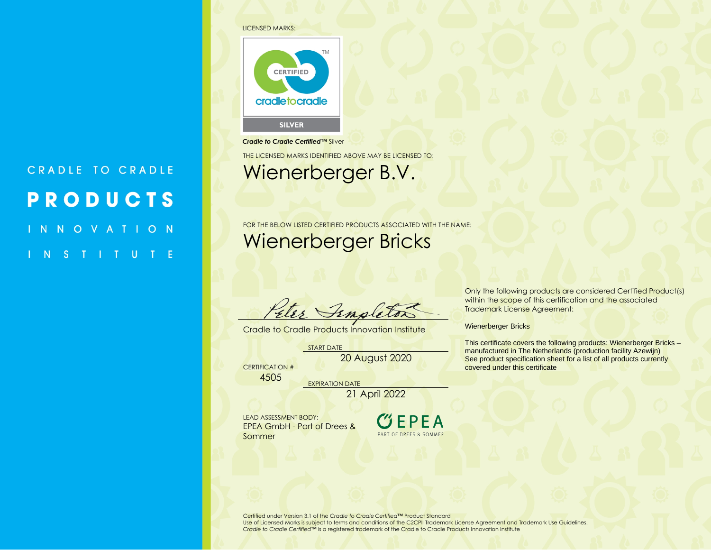## LICENSED MARKS:

CRADLE TO CRADLE

**PRODUCTS** 

INNOVATION

INSTITUTE



## *Cradle to Cradle Certified™* Silver

THE LICENSED MARKS IDENTIFIED ABOVE MAY BE LICENSED TO:

## Wienerberger B.V.

FOR THE BELOW LISTED CERTIFIED PRODUCTS ASSOCIATED WITH THE NAME: Wienerberger Bricks

Peter Finaleto.

Cradle to Cradle Products Innovation Institute

START DATE

20 August 2020

CERTIFICATION # 4505

EXPIRATION DATE 21 April 2022

LEAD ASSESSMENT BODY: EPEA GmbH - Part of Drees & Sommer



Only the following products are considered Certified Product(s) within the scope of this certification and the associated Trademark License Agreement:

Wienerberger Bricks

This certificate covers the following products: Wienerberger Bricks – manufactured in The Netherlands (production facility Azewijn) See product specification sheet for a list of all products currently covered under this certificate

Certified under Version 3.1 of the *Cradle to Cradle Certified™* Product Standard Use of Licensed Marks is subject to terms and conditions of the C2CPII Trademark License Agreement and Trademark Use Guidelines.

*Cradle to Cradle Certified*™ is a registered trademark of the Cradle to Cradle Products Innovation Institute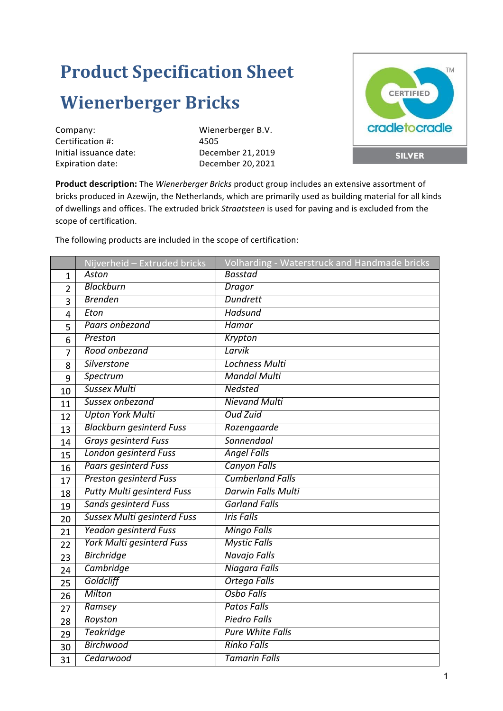## **Product Specification Sheet Wienerberger Bricks**

Company: Wienerberger B.V. Certification #: 4505

Initial issuance date: December 21,2019 Expiration date: December 20, 2021



**Product description:** The *Wienerberger Bricks* product group includes an extensive assortment of bricks produced in Azewijn, the Netherlands, which are primarily used as building material for all kinds of dwellings and offices. The extruded brick *Straatsteen* is used for paving and is excluded from the scope of certification.

The following products are included in the scope of certification:

|                | Nijverheid - Extruded bricks       | Volharding - Waterstruck and Handmade bricks |
|----------------|------------------------------------|----------------------------------------------|
| 1              | Aston                              | <b>Basstad</b>                               |
| $\overline{2}$ | <b>Blackburn</b>                   | Dragor                                       |
| $\overline{3}$ | <b>Brenden</b>                     | <b>Dundrett</b>                              |
| 4              | Eton                               | Hadsund                                      |
| 5              | Paars onbezand                     | Hamar                                        |
| 6              | Preston                            | Krypton                                      |
| 7              | Rood onbezand                      | Larvik                                       |
| 8              | <b>Silverstone</b>                 | <b>Lochness Multi</b>                        |
| 9              | <b>Spectrum</b>                    | <b>Mandal Multi</b>                          |
| 10             | <b>Sussex Multi</b>                | <b>Nedsted</b>                               |
| 11             | Sussex onbezand                    | <b>Nievand Multi</b>                         |
| 12             | <b>Upton York Multi</b>            | <b>Oud Zuid</b>                              |
| 13             | <b>Blackburn gesinterd Fuss</b>    | Rozengaarde                                  |
| 14             | <b>Grays gesinterd Fuss</b>        | Sonnendaal                                   |
| 15             | <b>London gesinterd Fuss</b>       | <b>Angel Falls</b>                           |
| 16             | <b>Paars gesinterd Fuss</b>        | <b>Canyon Falls</b>                          |
| 17             | <b>Preston gesinterd Fuss</b>      | <b>Cumberland Falls</b>                      |
| 18             | <b>Putty Multi gesinterd Fuss</b>  | <b>Darwin Falls Multi</b>                    |
| 19             | <b>Sands gesinterd Fuss</b>        | <b>Garland Falls</b>                         |
| 20             | <b>Sussex Multi gesinterd Fuss</b> | <b>Iris Falls</b>                            |
| 21             | <b>Yeadon gesinterd Fuss</b>       | <b>Mingo Falls</b>                           |
| 22             | <b>York Multi gesinterd Fuss</b>   | <b>Mystic Falls</b>                          |
| 23             | <b>Birchridge</b>                  | Navajo Falls                                 |
| 24             | <b>Cambridge</b>                   | Niagara Falls                                |
| 25             | Goldcliff                          | <b>Ortega Falls</b>                          |
| 26             | Milton                             | <b>Osbo Falls</b>                            |
| 27             | Ramsey                             | <b>Patos Falls</b>                           |
| 28             | Royston                            | <b>Piedro Falls</b>                          |
| 29             | <b>Teakridge</b>                   | <b>Pure White Falls</b>                      |
| 30             | <b>Birchwood</b>                   | <b>Rinko Falls</b>                           |
| 31             | Cedarwood                          | <b>Tamarin Falls</b>                         |